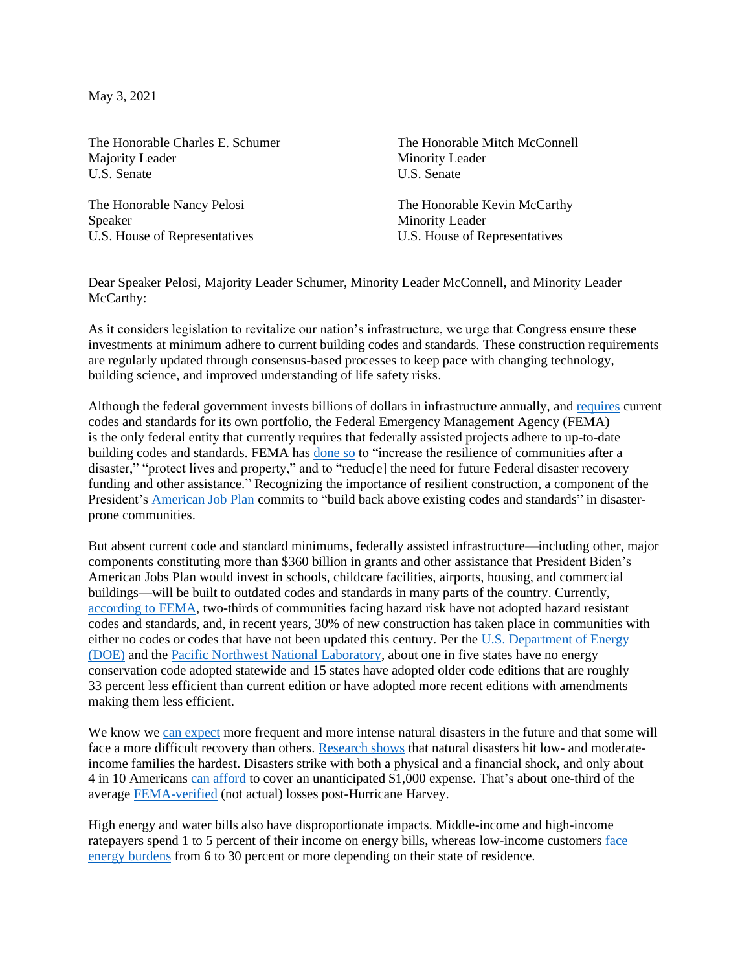May 3, 2021

The Honorable Charles E. Schumer Majority Leader U.S. Senate

The Honorable Nancy Pelosi Speaker U.S. House of Representatives

The Honorable Mitch McConnell Minority Leader U.S. Senate

The Honorable Kevin McCarthy Minority Leader U.S. House of Representatives

Dear Speaker Pelosi, Majority Leader Schumer, Minority Leader McConnell, and Minority Leader McCarthy:

As it considers legislation to revitalize our nation's infrastructure, we urge that Congress ensure these investments at minimum adhere to current building codes and standards. These construction requirements are regularly updated through consensus-based processes to keep pace with changing technology, building science, and improved understanding of life safety risks.

Although the federal government invests billions of dollars in infrastructure annually, and [requires](https://www.gsa.gov/cdnstatic/2018%20P100%20Final%20Updated.pdf) current codes and standards for its own portfolio, the Federal Emergency Management Agency (FEMA) is the only federal entity that currently requires that federally assisted projects adhere to up-to-date building codes and standards. FEMA has [done so](https://www.fema.gov/sites/default/files/2020-07/fema_DRRA-1235b-public-assistance-codes-standards-interim-policy.pdf) to "increase the resilience of communities after a disaster," "protect lives and property," and to "reduc[e] the need for future Federal disaster recovery funding and other assistance." Recognizing the importance of resilient construction, a component of the President's [American Job](https://www.whitehouse.gov/briefing-room/statements-releases/2021/03/31/fact-sheet-the-american-jobs-plan/) Plan commits to "build back above existing codes and standards" in disasterprone communities.

But absent current code and standard minimums, federally assisted infrastructure—including other, major components constituting more than \$360 billion in grants and other assistance that President Biden's American Jobs Plan would invest in schools, childcare facilities, airports, housing, and commercial buildings—will be built to outdated codes and standards in many parts of the country. Currently, [according to FEMA,](https://www.fema.gov/sites/default/files/2020-11/fema_building-codes-save_study.pdf) two-thirds of communities facing hazard risk have not adopted hazard resistant codes and standards, and, in recent years, 30% of new construction has taken place in communities with either no codes or codes that have not been updated this century. Per the [U.S. Department of Energy](https://www.energycodes.gov/adoption/state-code-adoption-tracking-analysis)  [\(DOE\)](https://www.energycodes.gov/adoption/state-code-adoption-tracking-analysis) and the [Pacific Northwest National Laboratory,](https://www.iccsafe.org/wp-content/uploads/20-19464_GR_IECC_Benefits_FLR_FINAL1_HIRES.pdf) about one in five states have no energy conservation code adopted statewide and 15 states have adopted older code editions that are roughly 33 percent less efficient than current edition or have adopted more recent editions with amendments making them less efficient.

We know we [can expect](https://www.fema.gov/sites/default/files/2020-11/fema_building-codes-save_brochure.pdf) more frequent and more intense natural disasters in the future and that some will face a more difficult recovery than others. [Research shows](https://www.samhsa.gov/sites/default/files/dtac/srb-low-ses_2.pdf) that natural disasters hit low- and moderateincome families the hardest. Disasters strike with both a physical and a financial shock, and only about 4 in 10 American[s can afford](https://www.bankrate.com/banking/savings/financial-security-january-2021/) to cover an unanticipated \$1,000 expense. That's about one-third of the average [FEMA-verified](https://texashousers.net/2018/02/21/to-achieve-an-equitable-recovery-we-propose-a-fairer-way-to-determine-needs-of-hurricane-harvey-survivors/) (not actual) losses post-Hurricane Harvey.

High energy and water bills also have disproportionate impacts. Middle-income and high-income ratepayers spend 1 to 5 percent of their income on energy bills, whereas low-income customers [face](https://www.eba-net.org/assets/1/6/6-18-265-305-Thompson_-_FINAL_0.pdf)  [energy burdens](https://www.eba-net.org/assets/1/6/6-18-265-305-Thompson_-_FINAL_0.pdf) from 6 to 30 percent or more depending on their state of residence.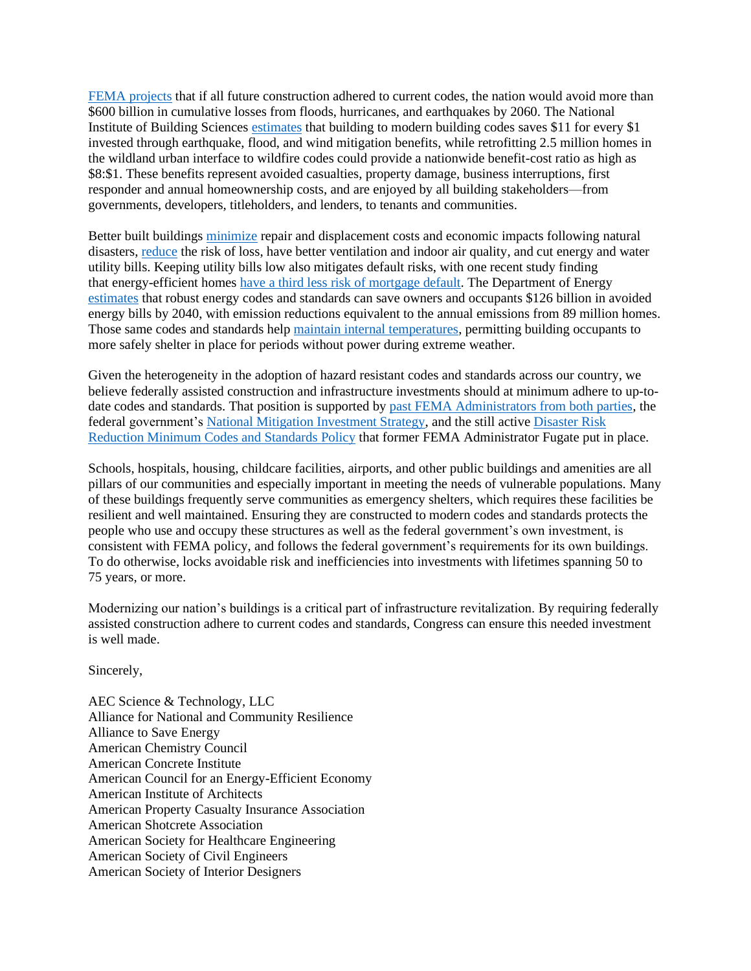[FEMA projects](https://www.fema.gov/sites/default/files/2020-11/fema_building-codes-save_brochure.pdf) that if all future construction adhered to current codes, the nation would avoid more than \$600 billion in cumulative losses from floods, hurricanes, and earthquakes by 2060. The National Institute of Building Sciences [estimates](https://www.nibs.org/projects/natural-hazard-mitigation-saves-2019-report) that building to modern building codes saves \$11 for every \$1 invested through earthquake, flood, and wind mitigation benefits, while retrofitting 2.5 million homes in the wildland urban interface to wildfire codes could provide a nationwide benefit-cost ratio as high as \$8:\$1. These benefits represent avoided casualties, property damage, business interruptions, first responder and annual homeownership costs, and are enjoyed by all building stakeholders—from governments, developers, titleholders, and lenders, to tenants and communities.

Better built buildings [minimize](https://www.nibs.org/projects/natural-hazard-mitigation-saves-2019-report) repair and displacement costs and economic impacts following natural disasters, [reduce](https://downloads.regulations.gov/HUD-2019-0092-0233/attachment_1.pdf) the risk of loss, have better ventilation and indoor air quality, and cut energy and water utility bills. Keeping utility bills low also mitigates default risks, with one recent study finding that energy-efficient homes have a third less [risk of mortgage default.](https://www.imt.org/wp-content/uploads/2018/02/IMT_UNC_HomeEEMortgageRisksfinal.pdf) The Department of Energy [estimates](https://www.energycodes.gov/about/results) that robust energy codes and standards can save owners and occupants \$126 billion in avoided energy bills by 2040, with emission reductions equivalent to the annual emissions from 89 million homes. Those same codes and standards help [maintain internal temperatures,](https://www.urbangreencouncil.org/babyitscoldinside) permitting building occupants to more safely shelter in place for periods without power during extreme weather.

Given the heterogeneity in the adoption of hazard resistant codes and standards across our country, we believe federally assisted construction and infrastructure investments should at minimum adhere to up-todate codes and standards. That position is supported by [past FEMA Administrators from both parties,](https://thehill.com/opinion/energy-environment/441890-natural-disasters-could-be-far-less-damaging-with-better-building) the federal government's [National Mitigation Investment Strategy,](https://u7061146.ct.sendgrid.net/wf/click?upn=G62jSYfZdO-2F12d8lSllQB35pUhVvf8hVbg0P5Ja1-2BS6WonvkGHEyD3eqgBmXkizjK-2FanhWh-2BGHXfqI5X4eWqXOr366TJVMxCWYIN1p7XaPU-3D_8wgayx9ZeAZbpbS-2FCuwKkXXr4FQhFq4Bm-2BDcsHjwpzWRvrSrj56RDJI-2Fy4t7WF-2BaUcWM5pvP7QVUP0W3lDPFVy6gY5kBY8QRkvU68eTG6XT2X96olJNrtU-2FBDWqaG0K7QhoOisbwBr-2B2hHFUKJUCc4idrWQm33RAYpeoyS6WeB7VyEoqPDuPlG-2FyHTVKUQpyRx7Tdedd8jMSmJOAhteqdt5Lji1I-2FfvQsCQhjjzpwCgl0N3Z4jyl1-2Bh-2B3Q703U3EbTUymCVvbXHS-2FQsIKHIgVM2ca-2B3DWHAPnxDnIPgMEMQUhSttoiEl0zG40DuPkASWQhSFxc0N8bYUlMX4eXYeCt-2B8vAbAhX30e88XKjhbJRw-3D) and the still active [Disaster Risk](https://www.iccsafe.org/wp-content/uploads/FP-204-078-2.pdf)  [Reduction Minimum Codes and Standards Policy](https://www.iccsafe.org/wp-content/uploads/FP-204-078-2.pdf) that former FEMA Administrator Fugate put in place.

Schools, hospitals, housing, childcare facilities, airports, and other public buildings and amenities are all pillars of our communities and especially important in meeting the needs of vulnerable populations. Many of these buildings frequently serve communities as emergency shelters, which requires these facilities be resilient and well maintained. Ensuring they are constructed to modern codes and standards protects the people who use and occupy these structures as well as the federal government's own investment, is consistent with FEMA policy, and follows the federal government's requirements for its own buildings. To do otherwise, locks avoidable risk and inefficiencies into investments with lifetimes spanning 50 to 75 years, or more.

Modernizing our nation's buildings is a critical part of infrastructure revitalization. By requiring federally assisted construction adhere to current codes and standards, Congress can ensure this needed investment is well made.

Sincerely,

AEC Science & Technology, LLC Alliance for National and Community Resilience Alliance to Save Energy American Chemistry Council American Concrete Institute American Council for an Energy-Efficient Economy American Institute of Architects American Property Casualty Insurance Association American Shotcrete Association American Society for Healthcare Engineering American Society of Civil Engineers American Society of Interior Designers